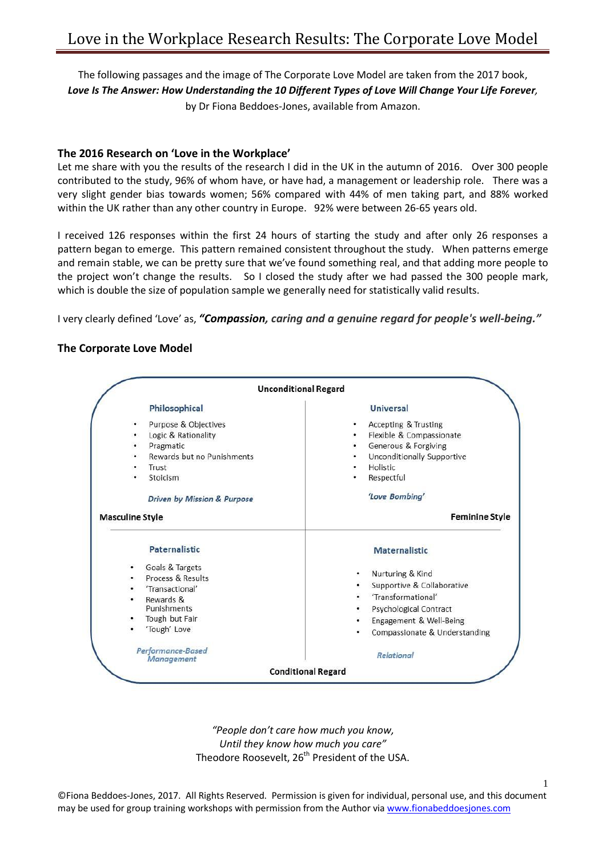The following passages and the image of The Corporate Love Model are taken from the 2017 book, *Love Is The Answer: How Understanding the 10 Different Types of Love Will Change Your Life Forever,*  by Dr Fiona Beddoes-Jones, available from Amazon.

## **The 2016 Research on 'Love in the Workplace'**

Let me share with you the results of the research I did in the UK in the autumn of 2016. Over 300 people contributed to the study, 96% of whom have, or have had, a management or leadership role. There was a very slight gender bias towards women; 56% compared with 44% of men taking part, and 88% worked within the UK rather than any other country in Europe. 92% were between 26-65 years old.

I received 126 responses within the first 24 hours of starting the study and after only 26 responses a pattern began to emerge. This pattern remained consistent throughout the study. When patterns emerge and remain stable, we can be pretty sure that we've found something real, and that adding more people to the project won't change the results. So I closed the study after we had passed the 300 people mark, which is double the size of population sample we generally need for statistically valid results.

I very clearly defined 'Love' as, *"Compassion, caring and a genuine regard for people's well-being."* 

## **The Corporate Love Model**

| <b>Unconditional Regard</b>                                                                                                                                              |                                                                                                                                                                           |
|--------------------------------------------------------------------------------------------------------------------------------------------------------------------------|---------------------------------------------------------------------------------------------------------------------------------------------------------------------------|
| Philosophical                                                                                                                                                            | <b>Universal</b>                                                                                                                                                          |
| Purpose & Objectives<br>٠<br>Logic & Rationality<br>٠<br>Pragmatic<br>٠<br>Rewards but no Punishments<br>٠<br>Trust<br>٠<br>Stoicism<br>٠<br>Driven by Mission & Purpose | Accepting & Trusting<br>٠<br>Flexible & Compassionate<br>۰<br>Generous & Forgiving<br>Unconditionally Supportive<br>٠<br>Holistic<br>Respectful<br>'Love Bombing'         |
| <b>Masculine Style</b>                                                                                                                                                   | <b>Feminine Style</b>                                                                                                                                                     |
| <b>Paternalistic</b>                                                                                                                                                     | <b>Maternalistic</b>                                                                                                                                                      |
| Goals & Targets<br>٠<br>Process & Results<br>'Transactional'<br>Rewards &<br>$\bullet$<br>Punishments<br>Tough but Fair<br>۰<br>'Tough' Love                             | Nurturing & Kind<br>٠<br>Supportive & Collaborative<br>٠<br>'Transformational'<br>Psychological Contract<br>Engagement & Well-Being<br>٠<br>Compassionate & Understanding |
| Performance-Based<br><b>Management</b>                                                                                                                                   | <b>Relational</b>                                                                                                                                                         |
|                                                                                                                                                                          | <b>Conditional Regard</b>                                                                                                                                                 |

*"People don't care how much you know, Until they know how much you care"* Theodore Roosevelt, 26<sup>th</sup> President of the USA.

©Fiona Beddoes-Jones, 2017. All Rights Reserved. Permission is given for individual, personal use, and this document may be used for group training workshops with permission from the Author vi[a www.fionabeddoesjones.com](http://www.fionabeddoesjones.com/)

1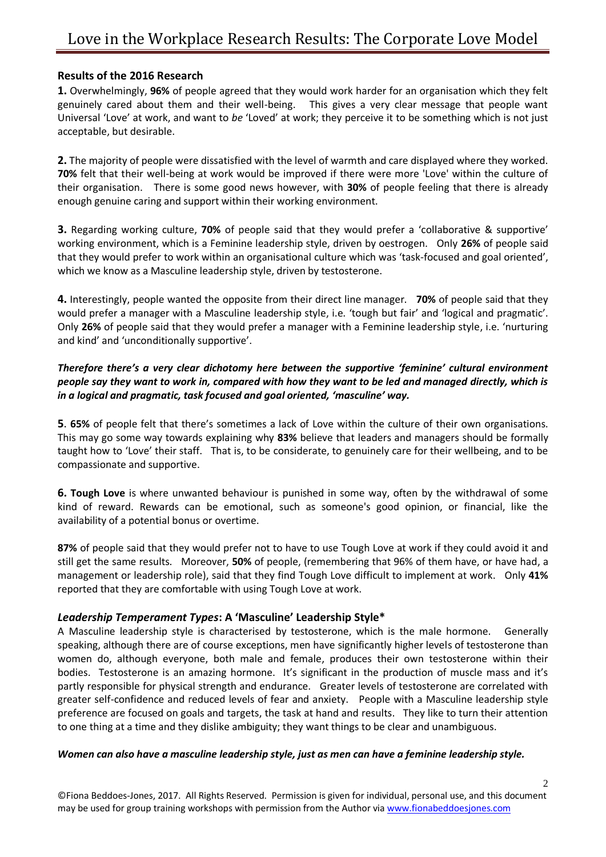## **Results of the 2016 Research**

**1.** Overwhelmingly, **96%** of people agreed that they would work harder for an organisation which they felt genuinely cared about them and their well-being. This gives a very clear message that people want Universal 'Love' at work, and want to *be* 'Loved' at work; they perceive it to be something which is not just acceptable, but desirable.

**2.** The majority of people were dissatisfied with the level of warmth and care displayed where they worked. **70%** felt that their well-being at work would be improved if there were more 'Love' within the culture of their organisation. There is some good news however, with **30%** of people feeling that there is already enough genuine caring and support within their working environment.

**3.** Regarding working culture, **70%** of people said that they would prefer a 'collaborative & supportive' working environment, which is a Feminine leadership style, driven by oestrogen. Only **26%** of people said that they would prefer to work within an organisational culture which was 'task-focused and goal oriented', which we know as a Masculine leadership style, driven by testosterone.

**4.** Interestingly, people wanted the opposite from their direct line manager. **70%** of people said that they would prefer a manager with a Masculine leadership style, i.e. 'tough but fair' and 'logical and pragmatic'. Only **26%** of people said that they would prefer a manager with a Feminine leadership style, i.e. 'nurturing and kind' and 'unconditionally supportive'.

## *Therefore there's a very clear dichotomy here between the supportive 'feminine' cultural environment people say they want to work in, compared with how they want to be led and managed directly, which is in a logical and pragmatic, task focused and goal oriented, 'masculine' way.*

**5**. **65%** of people felt that there's sometimes a lack of Love within the culture of their own organisations. This may go some way towards explaining why **83%** believe that leaders and managers should be formally taught how to 'Love' their staff. That is, to be considerate, to genuinely care for their wellbeing, and to be compassionate and supportive.

**6. Tough Love** is where unwanted behaviour is punished in some way, often by the withdrawal of some kind of reward. Rewards can be emotional, such as someone's good opinion, or financial, like the availability of a potential bonus or overtime.

**87%** of people said that they would prefer not to have to use Tough Love at work if they could avoid it and still get the same results. Moreover, **50%** of people, (remembering that 96% of them have, or have had, a management or leadership role), said that they find Tough Love difficult to implement at work. Only **41%** reported that they are comfortable with using Tough Love at work.

## *Leadership Temperament Types***: A 'Masculine' Leadership Style\***

A Masculine leadership style is characterised by testosterone, which is the male hormone. Generally speaking, although there are of course exceptions, men have significantly higher levels of testosterone than women do, although everyone, both male and female, produces their own testosterone within their bodies. Testosterone is an amazing hormone. It's significant in the production of muscle mass and it's partly responsible for physical strength and endurance. Greater levels of testosterone are correlated with greater self-confidence and reduced levels of fear and anxiety. People with a Masculine leadership style preference are focused on goals and targets, the task at hand and results. They like to turn their attention to one thing at a time and they dislike ambiguity; they want things to be clear and unambiguous.

#### *Women can also have a masculine leadership style, just as men can have a feminine leadership style.*

©Fiona Beddoes-Jones, 2017. All Rights Reserved. Permission is given for individual, personal use, and this document may be used for group training workshops with permission from the Author vi[a www.fionabeddoesjones.com](http://www.fionabeddoesjones.com/)

2